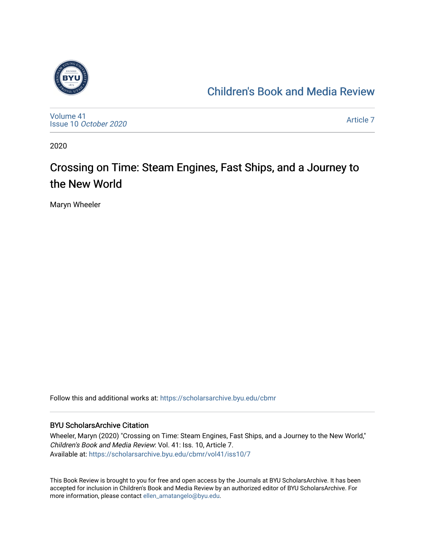

### [Children's Book and Media Review](https://scholarsarchive.byu.edu/cbmr)

[Volume 41](https://scholarsarchive.byu.edu/cbmr/vol41) Issue 10 [October 2020](https://scholarsarchive.byu.edu/cbmr/vol41/iss10)

[Article 7](https://scholarsarchive.byu.edu/cbmr/vol41/iss10/7) 

2020

## Crossing on Time: Steam Engines, Fast Ships, and a Journey to the New World

Maryn Wheeler

Follow this and additional works at: [https://scholarsarchive.byu.edu/cbmr](https://scholarsarchive.byu.edu/cbmr?utm_source=scholarsarchive.byu.edu%2Fcbmr%2Fvol41%2Fiss10%2F7&utm_medium=PDF&utm_campaign=PDFCoverPages) 

#### BYU ScholarsArchive Citation

Wheeler, Maryn (2020) "Crossing on Time: Steam Engines, Fast Ships, and a Journey to the New World," Children's Book and Media Review: Vol. 41: Iss. 10, Article 7. Available at: [https://scholarsarchive.byu.edu/cbmr/vol41/iss10/7](https://scholarsarchive.byu.edu/cbmr/vol41/iss10/7?utm_source=scholarsarchive.byu.edu%2Fcbmr%2Fvol41%2Fiss10%2F7&utm_medium=PDF&utm_campaign=PDFCoverPages)

This Book Review is brought to you for free and open access by the Journals at BYU ScholarsArchive. It has been accepted for inclusion in Children's Book and Media Review by an authorized editor of BYU ScholarsArchive. For more information, please contact [ellen\\_amatangelo@byu.edu.](mailto:ellen_amatangelo@byu.edu)